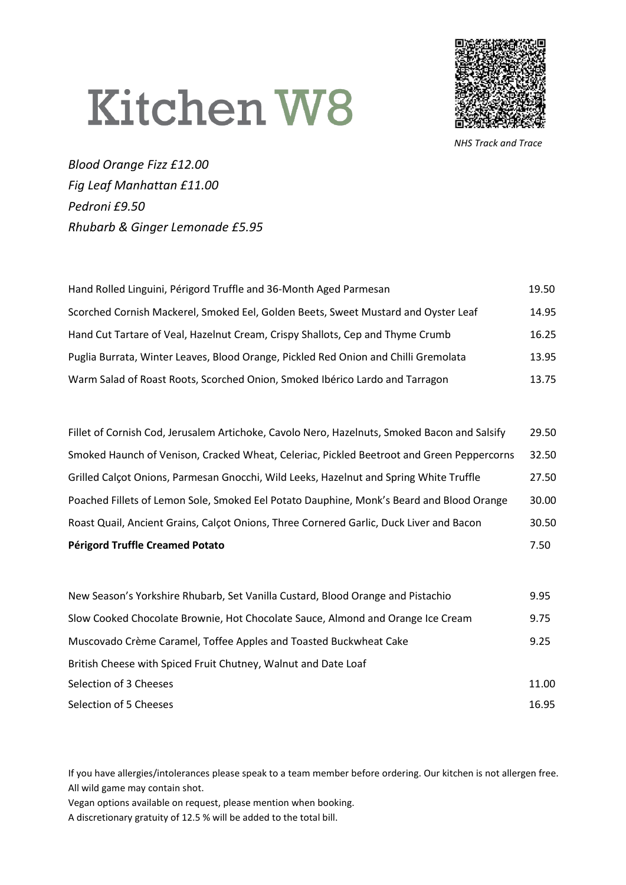## **Kitchen W8**



*NHS Track and Trace*

*Blood Orange Fizz £12.00 Fig Leaf Manhattan £11.00 Pedroni £9.50 Rhubarb & Ginger Lemonade £5.95*

| Hand Rolled Linguini, Périgord Truffle and 36-Month Aged Parmesan                   | 19.50 |
|-------------------------------------------------------------------------------------|-------|
| Scorched Cornish Mackerel, Smoked Eel, Golden Beets, Sweet Mustard and Oyster Leaf  | 14.95 |
| Hand Cut Tartare of Veal, Hazelnut Cream, Crispy Shallots, Cep and Thyme Crumb      | 16.25 |
| Puglia Burrata, Winter Leaves, Blood Orange, Pickled Red Onion and Chilli Gremolata | 13.95 |
| Warm Salad of Roast Roots, Scorched Onion, Smoked Ibérico Lardo and Tarragon        | 13.75 |

| <b>Périgord Truffle Creamed Potato</b>                                                       | 7.50  |
|----------------------------------------------------------------------------------------------|-------|
| Roast Quail, Ancient Grains, Calçot Onions, Three Cornered Garlic, Duck Liver and Bacon      | 30.50 |
| Poached Fillets of Lemon Sole, Smoked Eel Potato Dauphine, Monk's Beard and Blood Orange     | 30.00 |
| Grilled Calcot Onions, Parmesan Gnocchi, Wild Leeks, Hazelnut and Spring White Truffle       | 27.50 |
| Smoked Haunch of Venison, Cracked Wheat, Celeriac, Pickled Beetroot and Green Peppercorns    | 32.50 |
| Fillet of Cornish Cod, Jerusalem Artichoke, Cavolo Nero, Hazelnuts, Smoked Bacon and Salsify | 29.50 |

| New Season's Yorkshire Rhubarb, Set Vanilla Custard, Blood Orange and Pistachio | 9.95  |
|---------------------------------------------------------------------------------|-------|
| Slow Cooked Chocolate Brownie, Hot Chocolate Sauce, Almond and Orange Ice Cream | 9.75  |
| Muscovado Crème Caramel, Toffee Apples and Toasted Buckwheat Cake               | 9.25  |
| British Cheese with Spiced Fruit Chutney, Walnut and Date Loaf                  |       |
| Selection of 3 Cheeses                                                          | 11.00 |
| Selection of 5 Cheeses                                                          | 16.95 |

If you have allergies/intolerances please speak to a team member before ordering. Our kitchen is not allergen free. All wild game may contain shot.

Vegan options available on request, please mention when booking.

A discretionary gratuity of 12.5 % will be added to the total bill.